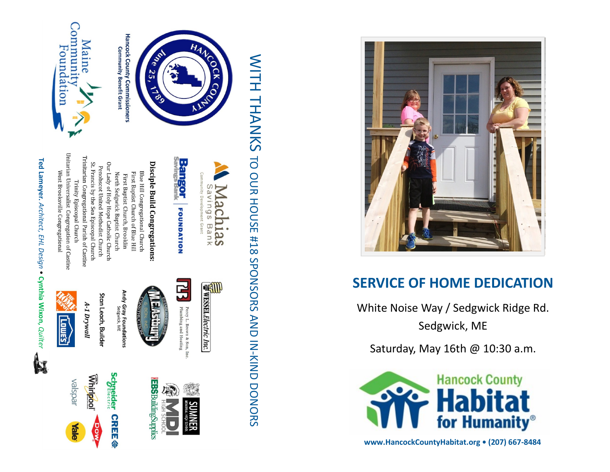

# **SERVICE OF HOME DEDICATION**

White Noise Way / Sedgwick Ridge Rd. Sedgwick, ME

Saturday, May 16th @ 10:30 a.m.



**www.HancockCountyHabitat.org • (207) 667 -8484**







Dow

**Plale** 

Community "<br>Foundation Maine

**Community Benefit Grant** 

*Quilter*  **Ted Lameyer.** *Architect, EHL Design •* **Cynthia Wixon,** A.